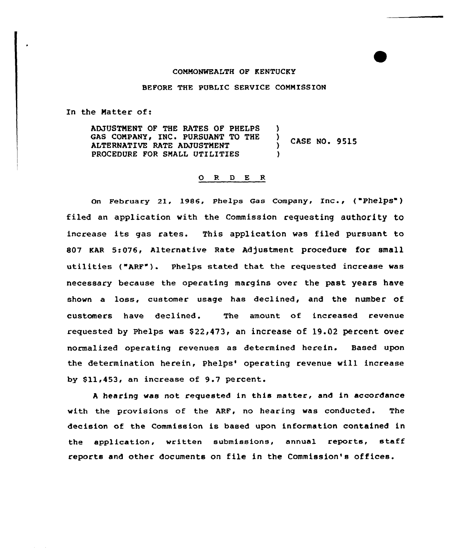#### COMMONWEALTH OF KENTUCKY

### BEFORE THE PUBLIC SERVICE COMMISSION

In the Matter of:

ADJUSTMENT OF THE RATES OF PHELPS GAS COMPANY, INC. PURSUANT TO THE ALTERNATIVE RATE ADJUSTMENT PROCEDURE FOR SMALL UTILITIES ) CASE NO. 9515 ) )

# 0 <sup>R</sup> <sup>D</sup> E <sup>R</sup>

On February 21, 1986, Phelps Gas Company, Inc.,  $( "Phelps")$ filed an application with the Commission requesting authority to increase its gas rates. This application was filed pursuant to 807 KAR 5:076, Alternative Rate Adjustment procedure for small utilities ("ARF"). Phelps stated that the requested increase was necessary because the operating margins over the past years have shown a loss, customer usage has declined, and the number of customers have declined. The amount of increased revenue requested by Phelps was  $$22,473$ , an increase of  $19.02$  percent over normalized operating revenues as determined herein. Based upon the determination herein, Phelps' operating revenue will increase by \$11,453, an increase of 9.7 percent.

<sup>A</sup> hearing was not requested in this matter, and in accordance with the provisions of the ARF, no hearing was conducted. The decision of the Commission is baaed upon information contained in the application, written submissions, annual reports, staff reports and other documents on file in the Commission's offices.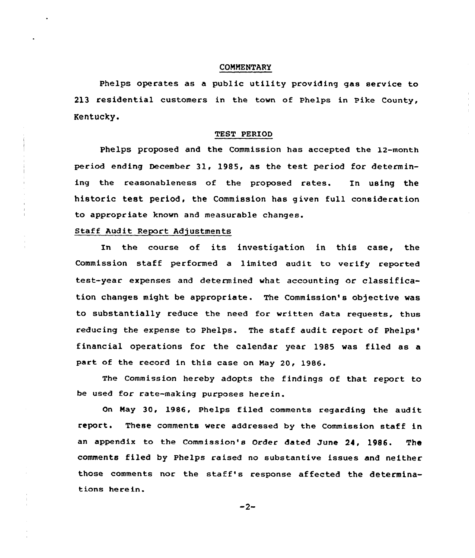#### CONNENTARY

Phelps operates as a public utility providing gas service to 213 residential customers in the town of Phelps in Pike County, Kentucky.

#### TEST PERIOD

Phelps proposed and the Commission has accepted the l2-month period ending December 31, 1985, as the test period for determining the reasonableness of the proposed rates. In using the historic test period, the Commission has given full consideration to appropriate known and measurable changes.

# Staff Audit Report Adjustments

In the course of its investigation in this case, the Commission staff performed a limited audit to verify reported test-year expenses and determined what accounting or classification changes might be appropriate. The Commission's objective was to substantially reduce the need for written data requests, thus reducing the expense to Phelps. The staff audit report of Phelps' operations for the calendar year 1985 was filed as <mark>a</mark> part of the record in this case on Nay 20, 1986.

The Commission hereby adopts the findings of that report to be used for rate-making purposes herein.

On Nay 30, 1986, Phelps filed comments regarding the audit report. These comments were addressed by the Commission staff in an appendix to the Commission's Order dated June 24, 1986. The comments filed by Phelps raised no substantive issues and neither those comments nor the staff's response affected the determinations he re in.

 $-2-$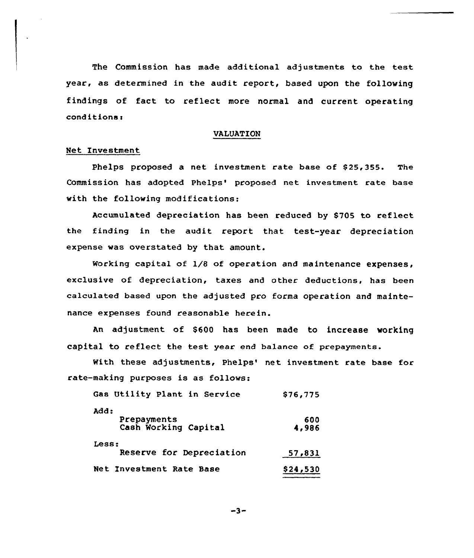The Commission has made additional adjustments to the test year, as determined in the audit report, based upon the following findings of fact to reflect more normal and current operating conditions:

#### VALUATION

## Net Investment

Phelps proposed a net investment rate base of \$25,355. The Commission has adopted Phelps' proposed net investment rate base with the following modifications:

Accumulated depreciation has been reduced by S705 to reflect the finding in the audit report that test-year depreciation expense was overstated by that amount.

Working capital of 1/8 of operation and maintenance expenses, exclusive of depreciation, taxes and other deductions, has been calculated based upon the adjusted pro forma operation and maintenance expenses found reasonable herein.

An adjustment of \$600 has been made to increase working capital to reflect the test year end balance of prepayments.

With these adjustments, Phelps' net investment rate base for rate-making purposes is as follows:

| Gas Utility Plant in Service                | \$76,775     |
|---------------------------------------------|--------------|
| add:<br>Prepayments<br>Cash Working Capital | 600<br>4,986 |
| Less:<br>Reserve for Depreciation           | 57,831       |
| Net Investment Rate Base                    | \$24,530     |

 $-3-$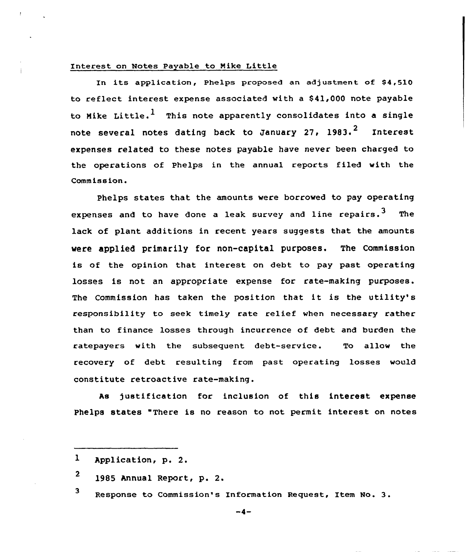# Interest on Notes Payable to Nike Little

In its application, Phelps proposed an adjustment of \$4,510 to reflect intecest expense associated with a 841,000 note payable to Mike Little.<sup>1</sup> This note apparently consolidates into a single note several notes dating back to January 27, 1983.<sup>2</sup> Interest expenses related to these notes payable have never been charged to the operations of Phelps in the annual cepocts filed with the Commission.

Phelps states that the amounts were borrowed to pay operating expenses and to have done a leak survey and line repairs.<sup>3</sup> The lack of plant additions in recent years suggests that the amounts were applied primarily for non-capital purposes. The Commission is of the opinion that interest on debt to pay past operating losses is not an appropriate expense for rate-making purposes. The Commission has taken the position that it is the utility's responsibility to seek timely cate relief when necessary cather than to finance losses through incurrence of debt and burden the ratepayecs with the subsequent debt-service. To allow the recovery of debt resulting from past operating losses would constitute retcoactive rate-making.

As justification for inclusion of this interest expense Phelps states "There is no reason to not permit interest on notes

3 Response to Commission's Information Request, Item No. 3.

 $\mathbf{I}$ Application, p. 2.

<sup>2</sup> 1985 Annual Report, p. 2.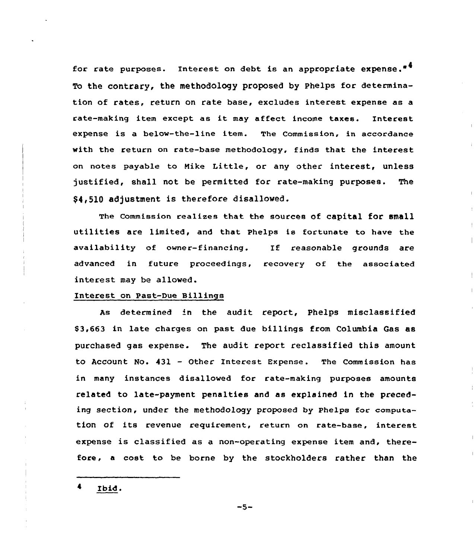for rate purposes. Interest on debt is an appropriate expense.<sup>\*4</sup> To the contrary, the methodology proposed by Phelps for determination of rates, return on rate base, excludes interest expense as a rate-making item except as it may affect income taxes. Interest expense is a below-the-line item. The Commission, in accordance with the return on rate-base methodology, finds that the interest on notes payable to Hike Little, or any other interest, unless justified, shall not be permitted for cate-making purposes. The \$4,510 adjustment is therefore disallowed.

The Commission realizes that the sources of capital for small utilities are limited, and that Phelps is fortunate to have the availability of owner-financing. If reasonable grounds are advanced in future proceedings, recovery of the associated interest. may be allowed.

### Interest on Past-Due Billings

As determined 'n the audit report, Phelps misclassified \$ 3,663 in late charges on past due billings from Columbia Gas as purchased gas expense. The audit report reclassified this amount to Account No. 431 — Other Interest Expense. The Commission has in many instances disallowed for rate-making purposes amounts related to late-payment penalties and as explained in the preceding section, under the methodology proposed by Phelps for computation of its revenue requirement, return on rate-base, interest expense is classified as a non-operating expense item and, therefore, a cost to be borne by the stockholders rather than the

Ibid.

 $-5-$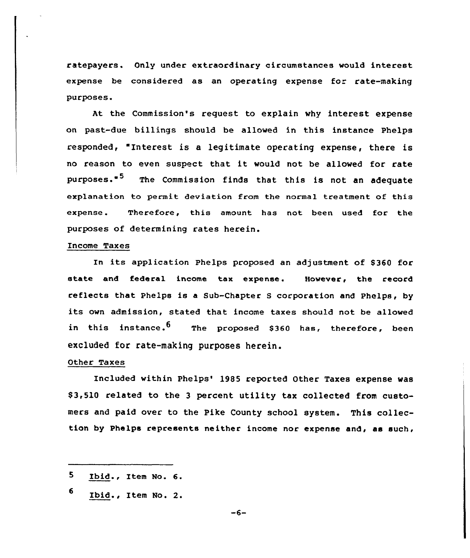ratepayers. Only under extraordinary circumstances would interest expense be considered as an operating expense for rate-making purposes.

At the Commission's request to explain why interest expense on past-due billings should be allowed in this instance Phelps responded, "Interest is a legitimate operating expense, there is no reason to even suspect that it would not be allowed for rate purposes."<sup>5</sup> The Commission finds that this is not an adequate explanation to permit deviation from the normal treatment of this expense. Therefore, this amount has not been used for the purposes of determining rates herein.

### Income Taxes

In its application Phelps proposed an adjustment of \$360 for state and federal income tax expense. However, the record reflects that Phelps is a Sub-Chapter <sup>S</sup> corporation and Phelps, by its own admission, stated that income taxes should not be allowed in this instance.<sup>b</sup> The proposed \$360 has, therefore, been excluded for rate-making purposes herein.

# Other Taxes

Included within phelps'985 reported Other Taxes expense was \$ 3,510 related to the <sup>3</sup> percent utility tax collected from customers and paid over to the Pike County school system. This collection by Phelps represents neither income nor expense and, as such,

<sup>5</sup> Ibid., Item No. 6.

<sup>6</sup> Ibid., Item No. 2.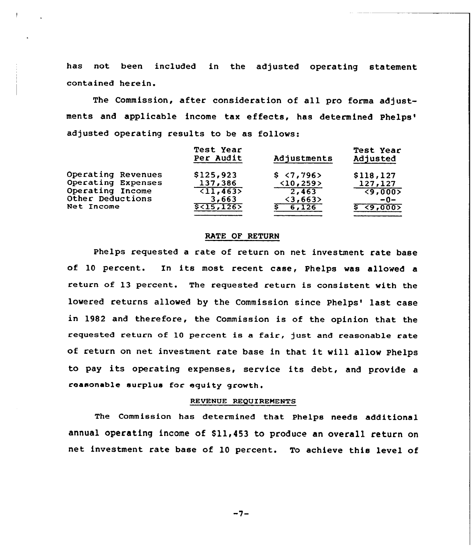has not been included in the adjusted operating statement contained herein.

The Commission, after consideration of all pro forma adjustments and applicable income tax effects, has determined adjusted operating results to be as follows:

|                    | Test Year<br>Per Audit | Adjustments              | Test Year<br>Adjusted  |
|--------------------|------------------------|--------------------------|------------------------|
| Operating Revenues | \$125,923              | \$ 5,796                 | \$118,127              |
| Operating Expenses | 137,386                | <10,259>                 | 127,127                |
| Operating Income   | $\overline{11,4635}$   | 2,463                    | $\sqrt{9,000}$         |
| Other Deductions   | 3,663                  | $\langle 3, 663 \rangle$ | $-0-$                  |
| Net Income         | $$<$ 15,126 $>$        | $\frac{1}{6,126}$        | <u>६ &lt;९,०००&gt;</u> |

## RATE OF RETURN

Phelps requested a rate of return on net investment rate base of 10 percent. In its most recent case, Phelps was allowed <sup>a</sup> return of 13 percent. The requested return is consistent with the lowered returns allowed by the Commission since Phelps' last case in 1982 and therefore, the Commission is of the opinion that the requested return of 10 percent is a fair, just and reasonable rate of return on net investment rate base in that it will allow Phelps to pay its operating expenses, service its debt, and provide <sup>a</sup> reasonable surplus for equity growth.

# REVENUE REQUIREMENTS

The Commission has determined that Phelps needs additiona1 annual operating income of \$11,453 to produce an overall return on net investment rate base of 10 percent. To achieve this level of

 $-7-$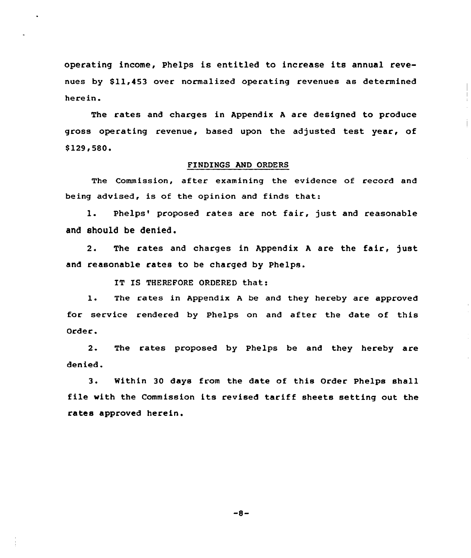operating income, Phelps is entitled to increase its annual revenues by \$11,453 over normalized operating revenues as determined herein.

The rates and charges in Appendix <sup>A</sup> are designed to produce gross operating revenue, based upon the adjusted test year, of \$129,580.

## FINDINGS AND ORDERS

The Commission, after examining the evidence of record and being advised, is of the opinion and finds that:

1. Phelps' proposed rates are not fair, just and reasonable and should be denied,

2. The rates and charges in Appendix <sup>A</sup> are the fair, just and reasonable rates to be charged by Phelps.

IT IS THEREFORE ORDERED that:

1. The rates in Appendix <sup>A</sup> be and they hereby are approved for service rendered by Phelps on and after the date of this Order.

2. The rates proposed by Phelps be and they hereby are denied.

3. Within <sup>30</sup> days from the date of this Order Phelps shall file with the Commission its revised tariff sheets setting out the rates approved herein.

 $-8-$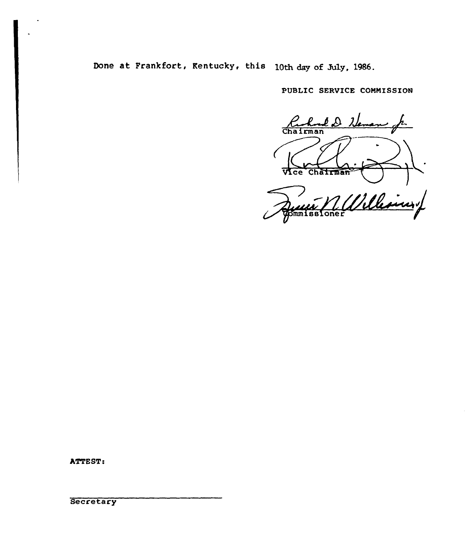Done at Frankfort, Kentucky, this 10th day of July, 1986.

PUBLIC SERVICE COMMISSION

Ruhard D Neman Vice Chairman M. Williamy

ATTEST:

**Secretary**